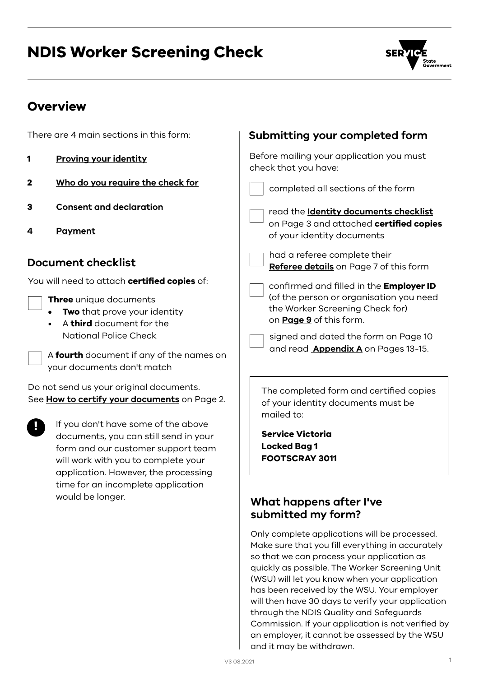# NDIS Worker Screening Check



# **Overview**

| There are 4 main sections in this form:                                                                                                                                                                                                                                                                                                                | Submitting your completed form                                                                                                                                                                                                                                                                                                                                             |
|--------------------------------------------------------------------------------------------------------------------------------------------------------------------------------------------------------------------------------------------------------------------------------------------------------------------------------------------------------|----------------------------------------------------------------------------------------------------------------------------------------------------------------------------------------------------------------------------------------------------------------------------------------------------------------------------------------------------------------------------|
| <b>Proving your identity</b><br>1                                                                                                                                                                                                                                                                                                                      | Before mailing your application you must<br>check that you have:                                                                                                                                                                                                                                                                                                           |
| Who do you require the check for<br>$\mathbf 2$                                                                                                                                                                                                                                                                                                        | completed all sections of the form                                                                                                                                                                                                                                                                                                                                         |
| <b>Consent and declaration</b><br>3<br><b>Payment</b><br>4                                                                                                                                                                                                                                                                                             | read the <b>Identity documents checklist</b><br>on Page 3 and attached certified copies<br>of your identity documents                                                                                                                                                                                                                                                      |
| <b>Document checklist</b>                                                                                                                                                                                                                                                                                                                              | had a referee complete their<br>Referee details on Page 7 of this form                                                                                                                                                                                                                                                                                                     |
| You will need to attach <b>certified copies</b> of:<br>Three unique documents<br>Two that prove your identity<br>A third document for the<br><b>National Police Check</b><br>A fourth document if any of the names on<br>your documents don't match                                                                                                    | confirmed and filled in the Employer ID<br>(of the person or organisation you need<br>the Worker Screening Check for)<br>on <b>Page 9</b> of this form.<br>signed and dated the form on Page 10<br>and read <b>Appendix A</b> on Pages 13-15.                                                                                                                              |
| Do not send us your original documents.<br>See How to certify your documents on Page 2.<br>If you don't have some of the above<br>documents, you can still send in your<br>form and our customer support team<br>will work with you to complete your<br>application. However, the processing<br>time for an incomplete application<br>would be longer. | The completed form and certified copies<br>of your identity documents must be<br>mailed to:<br><b>Service Victoria</b><br><b>Locked Bag 1</b><br><b>FOOTSCRAY 3011</b><br>What happens after I've<br>submitted my form?<br>Only complete applications will be processed.<br>Make sure that you fill everything in accurately<br>so that we can process your application as |

so that we can process your application as quickly as possible. The Worker Screening Unit (WSU) will let you know when your application has been received by the WSU. Your employer will then have 30 days to verify your application through the NDIS Quality and Safeguards Commission. If your application is not verified by an employer, it cannot be assessed by the WSU and it may be withdrawn.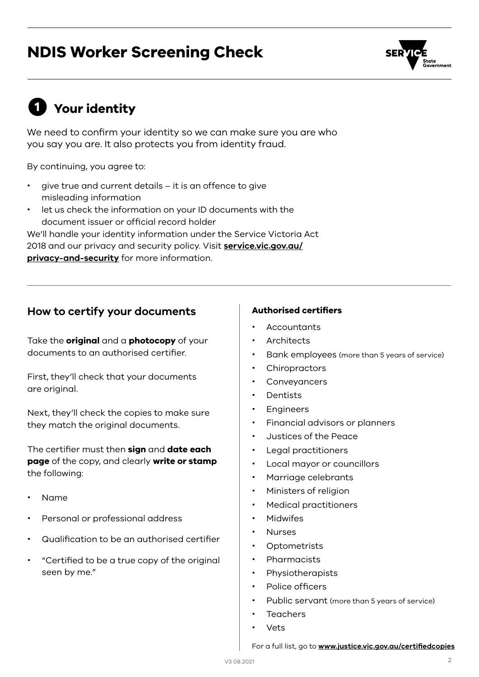# NDIS Worker Screening Check

# <span id="page-1-0"></span>**1** Your identity

We need to confirm your identity so we can make sure you are who you say you are. It also protects you from identity fraud.

By continuing, you agree to:

- give true and current details it is an offence to give misleading information
- let us check the information on your ID documents with the document issuer or official record holder

We'll handle your identity information under the Service Victoria Act 2018 and our privacy and security policy. Visit **[service.vic.gov.au/](http://service.vic.gov.au/privacy-and-security) [privacy-and-security](http://service.vic.gov.au/privacy-and-security)** for more information.

## <span id="page-1-1"></span>How to certify your documents **Authorised certifiers**

Take the **original** and a **photocopy** of your documents to an authorised certifier.

First, they'll check that your documents are original.

Next, they'll check the copies to make sure they match the original documents.

The certifier must then **sign** and **date each page** of the copy, and clearly **write or stamp**  the following:

- Name
- Personal or professional address
- Qualification to be an authorised certifier
- "Certified to be a true copy of the original seen by me."

- **Accountants**
- Architects
- Bank employees (more than 5 years of service)
- **Chiropractors**
- Conveyancers
- **Dentists**
- Engineers
- Financial advisors or planners
- Justices of the Peace
- Legal practitioners
- Local mayor or councillors
- Marriage celebrants
- Ministers of religion
- Medical practitioners
- · Midwifes
- Nurses
- Optometrists
- Pharmacists
- Physiotherapists
- Police officers
- Public servant (more than 5 years of service)
- Teachers
- Vets

For a full list, go to **[www.justice.vic.gov.au/certifiedcopies](http://www.justice.vic.gov.au/certifiedcopies)**

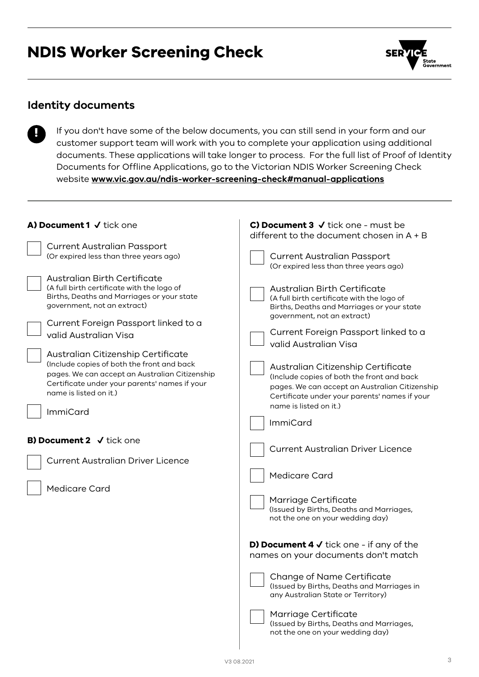# NDIS Worker Screening Check



## **Identity documents**

!

If you don't have some of the below documents, you can still send in your form and our customer support team will work with you to complete your application using additional documents. These applications will take longer to process. For the full list of Proof of Identity Documents for Offline Applications, go to the Victorian NDIS Worker Screening Check website **[www.vic.gov.au/ndis-worker-screening-check#manual-applications](http://www.vic.gov.au/ndis-worker-screening-check#manual-applications)**

| A) Document 1 V tick one                                                                                                                                                                               | C) Document $3 \checkmark$ tick one - must be<br>different to the document chosen in $A + B$                                                                                                                  |
|--------------------------------------------------------------------------------------------------------------------------------------------------------------------------------------------------------|---------------------------------------------------------------------------------------------------------------------------------------------------------------------------------------------------------------|
| <b>Current Australian Passport</b><br>(Or expired less than three years ago)                                                                                                                           | <b>Current Australian Passport</b><br>(Or expired less than three years ago)                                                                                                                                  |
| <b>Australian Birth Certificate</b><br>(A full birth certificate with the logo of<br>Births, Deaths and Marriages or your state<br>government, not an extract)<br>Current Foreign Passport linked to a | <b>Australian Birth Certificate</b><br>(A full birth certificate with the logo of<br>Births, Deaths and Marriages or your state<br>government, not an extract)<br>Current Foreign Passport linked to a        |
| valid Australian Visa<br>Australian Citizenship Certificate                                                                                                                                            | valid Australian Visa                                                                                                                                                                                         |
| (Include copies of both the front and back<br>pages. We can accept an Australian Citizenship<br>Certificate under your parents' names if your<br>name is listed on it.)<br><b>ImmiCard</b>             | Australian Citizenship Certificate<br>(Include copies of both the front and back<br>pages. We can accept an Australian Citizenship<br>Certificate under your parents' names if your<br>name is listed on it.) |
| B) Document 2 $\sqrt{ }$ tick one                                                                                                                                                                      | <b>ImmiCard</b>                                                                                                                                                                                               |
| <b>Current Australian Driver Licence</b>                                                                                                                                                               | <b>Current Australian Driver Licence</b><br><b>Medicare Card</b>                                                                                                                                              |
| <b>Medicare Card</b>                                                                                                                                                                                   | Marriage Certificate<br>(Issued by Births, Deaths and Marriages,<br>not the one on your wedding day)                                                                                                          |
|                                                                                                                                                                                                        | <b>D) Document 4 <math>\checkmark</math></b> tick one - if any of the<br>names on your documents don't match                                                                                                  |
|                                                                                                                                                                                                        | Change of Name Certificate<br>(Issued by Births, Deaths and Marriages in<br>any Australian State or Territory)                                                                                                |
|                                                                                                                                                                                                        | Marriage Certificate<br>(Issued by Births, Deaths and Marriages,<br>not the one on your wedding day)                                                                                                          |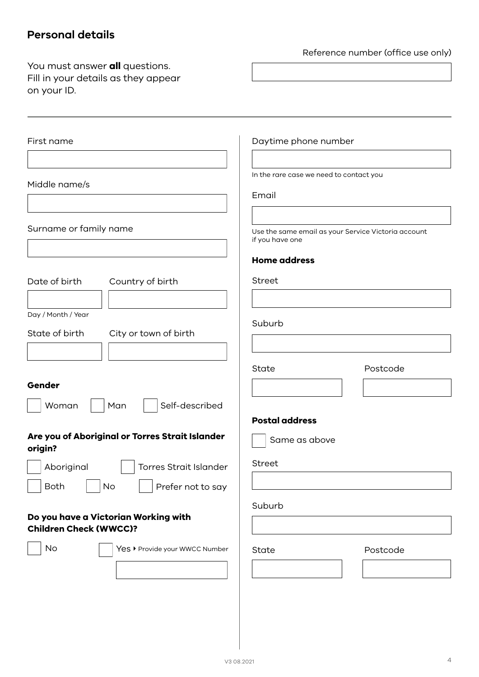# **Personal details**

Reference number (office use only)

| You must answer <b>all</b> questions.<br>Fill in your details as they appear<br>on your ID. |                                                                        |
|---------------------------------------------------------------------------------------------|------------------------------------------------------------------------|
|                                                                                             |                                                                        |
| First name                                                                                  | Daytime phone number                                                   |
| Middle name/s                                                                               | In the rare case we need to contact you                                |
|                                                                                             | Email                                                                  |
| Surname or family name                                                                      | Use the same email as your Service Victoria account<br>if you have one |
| Date of birth<br>Country of birth                                                           | <b>Home address</b><br>Street                                          |
| Day / Month / Year<br>State of birth<br>City or town of birth                               | Suburb                                                                 |
|                                                                                             | Postcode<br>State                                                      |
| Gender<br>Self-described<br>Woman<br>Man                                                    |                                                                        |
| Are you of Aboriginal or Torres Strait Islander<br>origin?                                  | <b>Postal address</b><br>Same as above<br>Street                       |
| Aboriginal<br><b>Torres Strait Islander</b><br><b>Both</b><br>No<br>Prefer not to say       |                                                                        |
| Do you have a Victorian Working with<br><b>Children Check (WWCC)?</b>                       | Suburb                                                                 |
| No<br>Yes ▶ Provide your WWCC Number                                                        | State<br>Postcode                                                      |
|                                                                                             |                                                                        |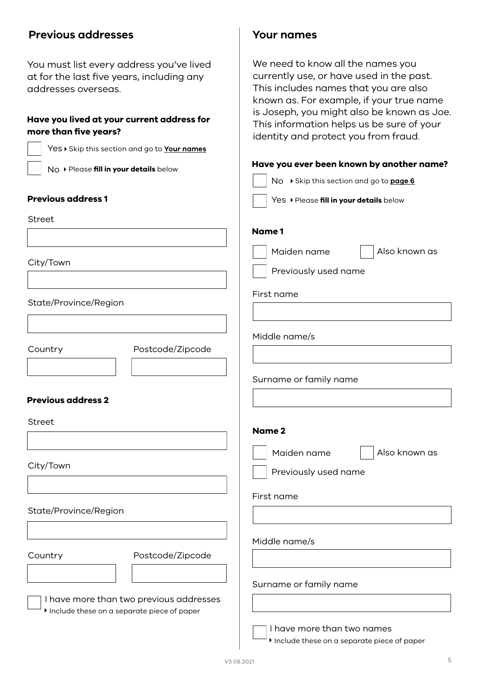## **Previous addresses**

You must list every address you've lived at for the last five years, including any addresses overseas.

### **Have you lived at your current address for more than five years?**

| more than five years?                  |                                              | identity and protect you from fraud.      |
|----------------------------------------|----------------------------------------------|-------------------------------------------|
|                                        | Yes > Skip this section and go to Your names |                                           |
| No > Please fill in your details below |                                              | Have you ever been known by another name? |
|                                        |                                              | No ▶ Skip this section and go to page 6   |
| <b>Previous address 1</b>              |                                              | Yes > Please fill in your details below   |
| Street                                 |                                              |                                           |
|                                        |                                              | Name 1                                    |
| City/Town                              |                                              | Maiden name<br>Also known as              |
|                                        |                                              | Previously used name                      |
|                                        |                                              | First name                                |
| State/Province/Region                  |                                              |                                           |
|                                        |                                              | Middle name/s                             |
| Country                                | Postcode/Zipcode                             |                                           |
|                                        |                                              |                                           |
|                                        |                                              | Surname or family name                    |
| <b>Previous address 2</b>              |                                              |                                           |
| Street                                 |                                              |                                           |
|                                        |                                              | <b>Name 2</b>                             |
|                                        |                                              | Also known as<br>Maiden name              |
| City/Town                              |                                              | Previously used name                      |
|                                        |                                              | First name                                |
| State/Province/Region                  |                                              |                                           |
|                                        |                                              |                                           |
|                                        |                                              | Middle name/s                             |
| Country                                | Postcode/Zipcode                             |                                           |
|                                        |                                              | Surname or family name                    |
|                                        | I have more than two previous addresses      |                                           |
|                                        | Include these on a separate piece of paper   |                                           |
|                                        |                                              | I have more than two names                |

<span id="page-4-0"></span>**Your names**

We need to know all the names you currently use, or have used in the past. This includes names that you are also known as. For example, if your true name is Joseph, you might also be known as Joe. This information helps us be sure of your

Include these on a separate piece of paper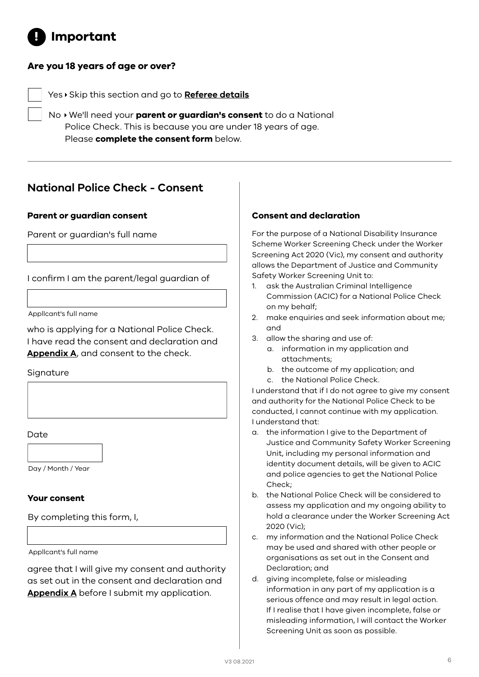#### <span id="page-5-0"></span>Important |<br>|<br>|

### **Are you 18 years of age or over?**

Yes Skip this section and go to **[Referee details](#page-6-0)**

No We'll need your **parent or guardian's consent** to do a National Police Check. This is because you are under 18 years of age. Please **complete the consent form** below.

# **National Police Check - Consent**

#### **Parent or guardian consent Consent and declaration**

Parent or guardian's full name

I confirm I am the parent/legal guardian of

Appllcant's full name

who is applying for a National Police Check. I have read the consent and declaration and **[Appendix A](#page-12-0)**, and consent to the check.

Signature

Date

Day / Month / Year

#### **Your consent**

By completing this form, I,

Appllcant's full name

agree that I will give my consent and authority as set out in the consent and declaration and **[Appendix A](#page-12-0)** before I submit my application.

For the purpose of a National Disability Insurance Scheme Worker Screening Check under the Worker Screening Act 2020 (Vic), my consent and authority allows the Department of Justice and Community Safety Worker Screening Unit to:

- 1. ask the Australian Criminal Intelligence Commission (ACIC) for a National Police Check on my behalf;
- 2. make enquiries and seek information about me; and
- 3. allow the sharing and use of:
	- a. information in my application and attachments;
	- b. the outcome of my application; and
	- c. the National Police Check.

I understand that if I do not agree to give my consent and authority for the National Police Check to be conducted, I cannot continue with my application. I understand that:

- a. the information I give to the Department of Justice and Community Safety Worker Screening Unit, including my personal information and identity document details, will be given to ACIC and police agencies to get the National Police Check:
- b. the National Police Check will be considered to assess my application and my ongoing ability to hold a clearance under the Worker Screening Act 2020 (Vic);
- c. my information and the National Police Check may be used and shared with other people or organisations as set out in the Consent and Declaration; and
- d. giving incomplete, false or misleading information in any part of my application is a serious offence and may result in legal action. If I realise that I have given incomplete, false or misleading information, I will contact the Worker Screening Unit as soon as possible.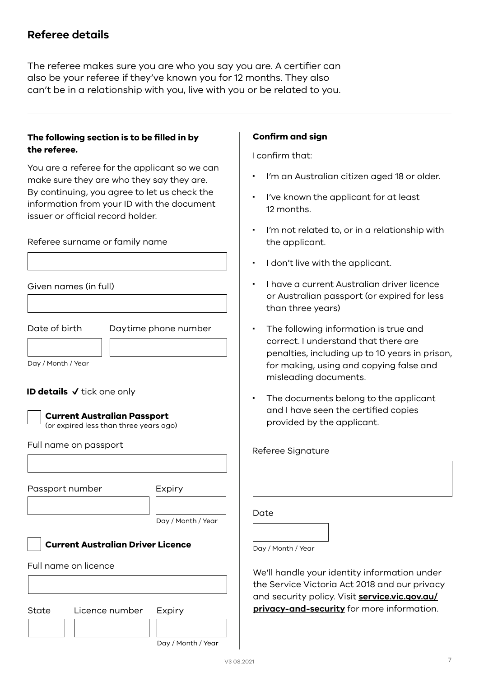## <span id="page-6-0"></span>**Referee details**

The referee makes sure you are who you say you are. A certifier can also be your referee if they've known you for 12 months. They also can't be in a relationship with you, live with you or be related to you.

### **The following section is to be filled in by the referee.**

You are a referee for the applicant so we can make sure they are who they say they are. By continuing, you agree to let us check the information from your ID with the document issuer or official record holder.

Referee surname or family name

Given names (in full)

Date of birth

Daytime phone number

Day / Month / Year

#### **ID details** ✔ tick one only



#### **Current Australian Passport**

(or expired less than three years ago)

#### Full name on passport

|       | Passport number                          | Expiry             |
|-------|------------------------------------------|--------------------|
|       |                                          | Day / Month / Year |
|       | <b>Current Australian Driver Licence</b> |                    |
|       | Full name on licence                     |                    |
|       |                                          |                    |
| State | Licence number                           | Expiry             |
|       |                                          | Day / Month / Year |

#### **Confirm and sign**

I confirm that:

- I'm an Australian citizen aged 18 or older.
- I've known the applicant for at least 12 months.
- I'm not related to, or in a relationship with the applicant.
- I don't live with the applicant.
- $\cdot$  I have a current Australian driver licence or Australian passport (or expired for less than three years)
- The following information is true and correct. I understand that there are penalties, including up to 10 years in prison, for making, using and copying false and misleading documents.
- The documents belong to the applicant and I have seen the certified copies provided by the applicant.

#### Referee Signature

Day / Month / Year

We'll handle your identity information under the Service Victoria Act 2018 and our privacy and security policy. Visit **[service.vic.gov.au/](http://service.vic.gov.au/privacy-and-security) [privacy-and-security](http://service.vic.gov.au/privacy-and-security)** for more information.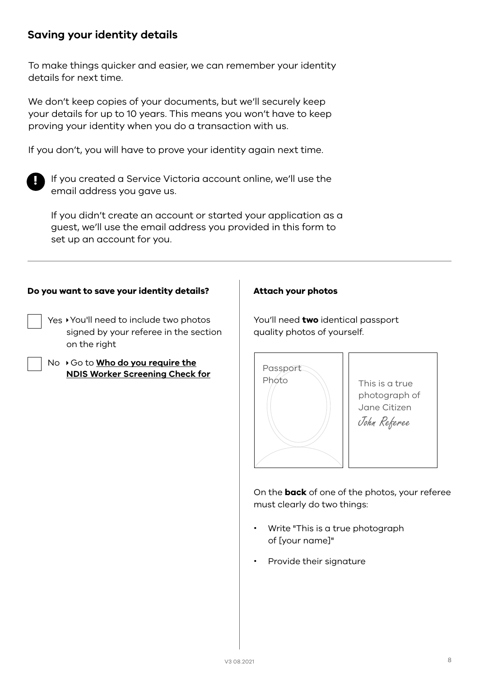## **Saving your identity details**

To make things quicker and easier, we can remember your identity details for next time.

We don't keep copies of your documents, but we'll securely keep your details for up to 10 years. This means you won't have to keep proving your identity when you do a transaction with us.

If you don't, you will have to prove your identity again next time.



If you created a Service Victoria account online, we'll use the email address you gave us.

If you didn't create an account or started your application as a guest, we'll use the email address you provided in this form to set up an account for you.

#### **Do you want to save your identity details? Attach your photos**

- Yes You'll need to include two photos signed by your referee in the section on the right
- No  $\rightarrow$  Go to **[Who do you require the](#page-8-0) [NDIS Worker Screening Check for](#page-8-0)**

You'll need **two** identical passport quality photos of yourself.



On the **back** of one of the photos, your referee must clearly do two things:

- Write "This is a true photograph of [your name]"
- Provide their signature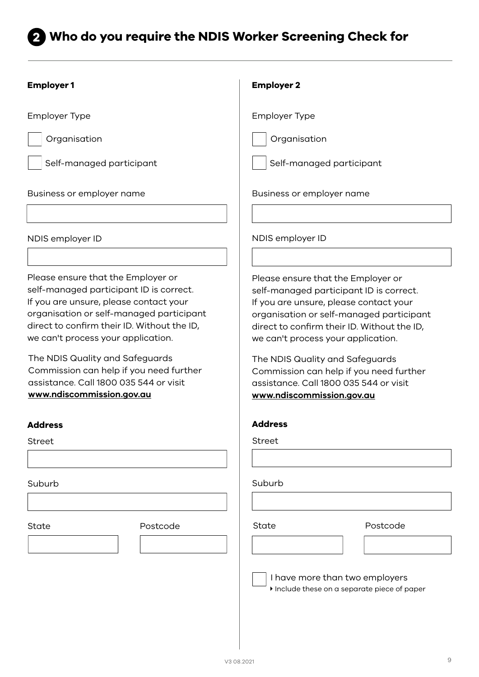# <span id="page-8-0"></span>2 Who do you require the NDIS Worker Screening Check for

| <b>Employer1</b>                                                                                                                                                                                                                                                                                                                                                                                              | <b>Employer 2</b>                                                                                                                                                                                                                                                                                                                                                                                             |  |
|---------------------------------------------------------------------------------------------------------------------------------------------------------------------------------------------------------------------------------------------------------------------------------------------------------------------------------------------------------------------------------------------------------------|---------------------------------------------------------------------------------------------------------------------------------------------------------------------------------------------------------------------------------------------------------------------------------------------------------------------------------------------------------------------------------------------------------------|--|
| <b>Employer Type</b>                                                                                                                                                                                                                                                                                                                                                                                          | <b>Employer Type</b>                                                                                                                                                                                                                                                                                                                                                                                          |  |
| Organisation                                                                                                                                                                                                                                                                                                                                                                                                  | Organisation                                                                                                                                                                                                                                                                                                                                                                                                  |  |
| Self-managed participant                                                                                                                                                                                                                                                                                                                                                                                      | Self-managed participant                                                                                                                                                                                                                                                                                                                                                                                      |  |
| Business or employer name                                                                                                                                                                                                                                                                                                                                                                                     | Business or employer name                                                                                                                                                                                                                                                                                                                                                                                     |  |
|                                                                                                                                                                                                                                                                                                                                                                                                               |                                                                                                                                                                                                                                                                                                                                                                                                               |  |
| NDIS employer ID                                                                                                                                                                                                                                                                                                                                                                                              | NDIS employer ID                                                                                                                                                                                                                                                                                                                                                                                              |  |
|                                                                                                                                                                                                                                                                                                                                                                                                               |                                                                                                                                                                                                                                                                                                                                                                                                               |  |
| Please ensure that the Employer or<br>self-managed participant ID is correct.<br>If you are unsure, please contact your<br>organisation or self-managed participant<br>direct to confirm their ID. Without the ID,<br>we can't process your application.<br>The NDIS Quality and Safeguards<br>Commission can help if you need further<br>assistance. Call 1800 035 544 or visit<br>www.ndiscommission.gov.au | Please ensure that the Employer or<br>self-managed participant ID is correct.<br>If you are unsure, please contact your<br>organisation or self-managed participant<br>direct to confirm their ID. Without the ID,<br>we can't process your application.<br>The NDIS Quality and Safeguards<br>Commission can help if you need further<br>assistance. Call 1800 035 544 or visit<br>www.ndiscommission.gov.au |  |
| <b>Address</b>                                                                                                                                                                                                                                                                                                                                                                                                | <b>Address</b>                                                                                                                                                                                                                                                                                                                                                                                                |  |
| <b>Street</b>                                                                                                                                                                                                                                                                                                                                                                                                 | <b>Street</b>                                                                                                                                                                                                                                                                                                                                                                                                 |  |
|                                                                                                                                                                                                                                                                                                                                                                                                               |                                                                                                                                                                                                                                                                                                                                                                                                               |  |
| Suburb                                                                                                                                                                                                                                                                                                                                                                                                        | Suburb                                                                                                                                                                                                                                                                                                                                                                                                        |  |
|                                                                                                                                                                                                                                                                                                                                                                                                               |                                                                                                                                                                                                                                                                                                                                                                                                               |  |
| Postcode<br>State                                                                                                                                                                                                                                                                                                                                                                                             | Postcode<br>State                                                                                                                                                                                                                                                                                                                                                                                             |  |
|                                                                                                                                                                                                                                                                                                                                                                                                               |                                                                                                                                                                                                                                                                                                                                                                                                               |  |
|                                                                                                                                                                                                                                                                                                                                                                                                               | I have more than two employers<br>Include these on a separate piece of paper                                                                                                                                                                                                                                                                                                                                  |  |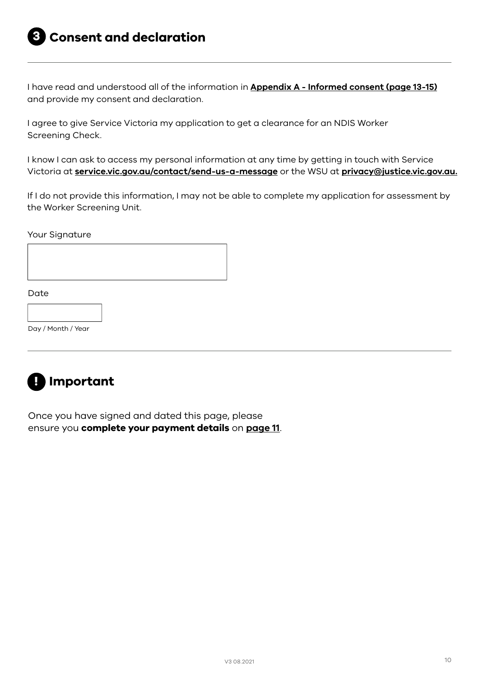<span id="page-9-0"></span>I have read and understood all of the information in **[Appendix A - Informed consent \(page 13-15\)](#page-12-0)** and provide my consent and declaration.

I agree to give Service Victoria my application to get a clearance for an NDIS Worker Screening Check.

I know I can ask to access my personal information at any time by getting in touch with Service Victoria at **[service.vic.gov.au/contact/send-us-a-message](http://service.vic.gov.au/contact/send-us-a-message)** or the WSU at **[privacy@justice.vic.gov.au](mailto:privacy%40justice.vic.gov.au?subject=).**

If I do not provide this information, I may not be able to complete my application for assessment by the Worker Screening Unit.

Your Signature



Day / Month / Year



Once you have signed and dated this page, please ensure you **complete your payment details** on **[page 11](#page-10-0)**.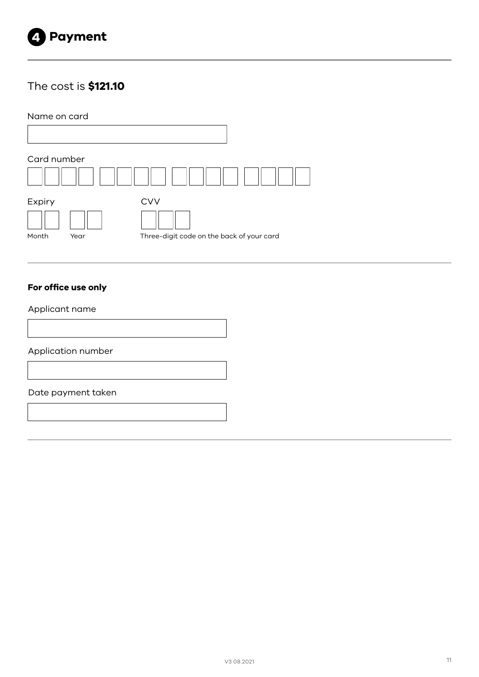<span id="page-10-0"></span>

# The cost is **\$121.10**

Name on card

| Card number |      |                                           |
|-------------|------|-------------------------------------------|
|             |      |                                           |
| Expiry      |      | <b>CVV</b>                                |
|             |      |                                           |
| Month       | Year | Three-digit code on the back of your card |

### **For office use only**

Applicant name

Application number

#### Date payment taken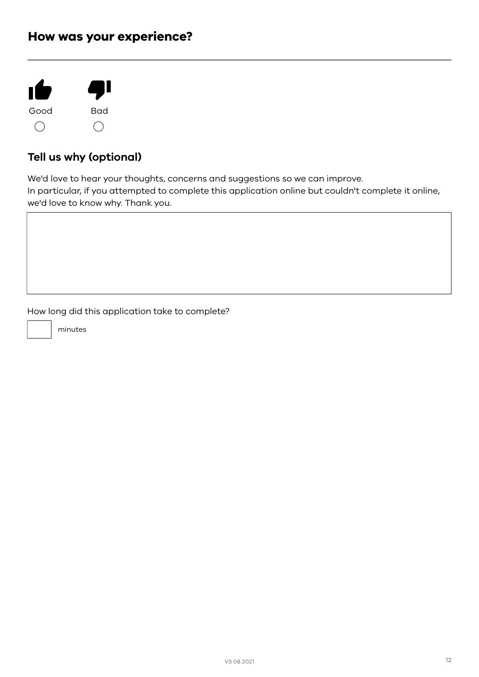# How was your experience?



# **Tell us why (optional)**

We'd love to hear your thoughts, concerns and suggestions so we can improve. In particular, if you attempted to complete this application online but couldn't complete it online, we'd love to know why. Thank you.

How long did this application take to complete?

minutes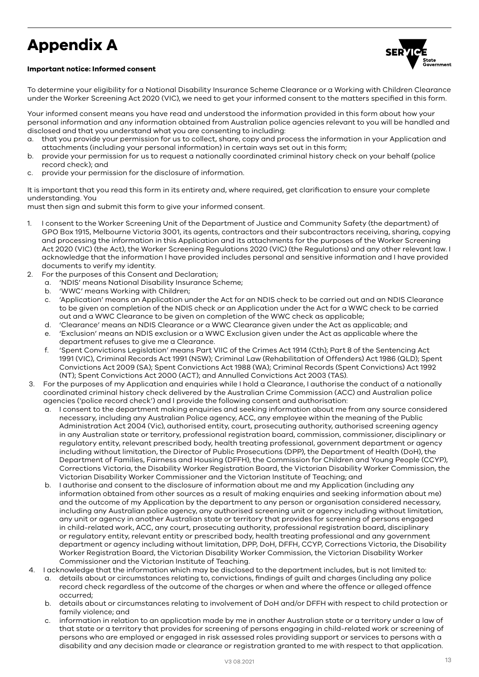# <span id="page-12-0"></span>Appendix A





To determine your eligibility for a National Disability Insurance Scheme Clearance or a Working with Children Clearance under the Worker Screening Act 2020 (VIC), we need to get your informed consent to the matters specified in this form.

Your informed consent means you have read and understood the information provided in this form about how your personal information and any information obtained from Australian police agencies relevant to you will be handled and disclosed and that you understand what you are consenting to including:

- a. that you provide your permission for us to collect, share, copy and process the information in your Application and attachments (including your personal information) in certain ways set out in this form;
- b. provide your permission for us to request a nationally coordinated criminal history check on your behalf (police record check); and
- c. provide your permission for the disclosure of information.

It is important that you read this form in its entirety and, where required, get clarification to ensure your complete understanding. You

must then sign and submit this form to give your informed consent.

- 1. I consent to the Worker Screening Unit of the Department of Justice and Community Safety (the department) of GPO Box 1915, Melbourne Victoria 3001, its agents, contractors and their subcontractors receiving, sharing, copying and processing the information in this Application and its attachments for the purposes of the Worker Screening Act 2020 (VIC) (the Act), the Worker Screening Regulations 2020 (VIC) (the Regulations) and any other relevant law. I acknowledge that the information I have provided includes personal and sensitive information and I have provided documents to verify my identity.
- 2. For the purposes of this Consent and Declaration;
	- a. 'NDIS' means National Disability Insurance Scheme;
	- b. 'WWC' means Working with Children;
	- c. 'Application' means an Application under the Act for an NDIS check to be carried out and an NDIS Clearance to be given on completion of the NDIS check or an Application under the Act for a WWC check to be carried out and a WWC Clearance to be given on completion of the WWC check as applicable;
	- d. 'Clearance' means an NDIS Clearance or a WWC Clearance given under the Act as applicable; and
	- e. 'Exclusion' means an NDIS exclusion or a WWC Exclusion given under the Act as applicable where the department refuses to give me a Clearance.
	- f. 'Spent Convictions Legislation' means Part VIIC of the Crimes Act 1914 (Cth); Part 8 of the Sentencing Act 1991 (VIC), Criminal Records Act 1991 (NSW); Criminal Law (Rehabilitation of Offenders) Act 1986 (QLD); Spent Convictions Act 2009 (SA); Spent Convictions Act 1988 (WA); Criminal Records (Spent Convictions) Act 1992 (NT); Spent Convictions Act 2000 (ACT); and Annulled Convictions Act 2003 (TAS).
- 3. For the purposes of my Application and enquiries while I hold a Clearance, I authorise the conduct of a nationally coordinated criminal history check delivered by the Australian Crime Commission (ACC) and Australian police agencies ('police record check') and I provide the following consent and authorisation:
	- a. I consent to the department making enquiries and seeking information about me from any source considered necessary, including any Australian Police agency, ACC, any employee within the meaning of the Public Administration Act 2004 (Vic), authorised entity, court, prosecuting authority, authorised screening agency in any Australian state or territory, professional registration board, commission, commissioner, disciplinary or regulatory entity, relevant prescribed body, health treating professional, government department or agency including without limitation, the Director of Public Prosecutions (DPP), the Department of Health (DoH), the Department of Families, Fairness and Housing (DFFH), the Commission for Children and Young People (CCYP), Corrections Victoria, the Disability Worker Registration Board, the Victorian Disability Worker Commission, the Victorian Disability Worker Commissioner and the Victorian Institute of Teaching; and
	- b. I authorise and consent to the disclosure of information about me and my Application (including any information obtained from other sources as a result of making enquiries and seeking information about me) and the outcome of my Application by the department to any person or organisation considered necessary, including any Australian police agency, any authorised screening unit or agency including without limitation, any unit or agency in another Australian state or territory that provides for screening of persons engaged in child-related work, ACC, any court, prosecuting authority, professional registration board, disciplinary or regulatory entity, relevant entity or prescribed body, health treating professional and any government department or agency including without limitation, DPP, DoH, DFFH, CCYP, Corrections Victoria, the Disability Worker Registration Board, the Victorian Disability Worker Commission, the Victorian Disability Worker Commissioner and the Victorian Institute of Teaching.
- 4. I acknowledge that the information which may be disclosed to the department includes, but is not limited to:
	- a. details about or circumstances relating to, convictions, findings of guilt and charges (including any police record check regardless of the outcome of the charges or when and where the offence or alleged offence occurred;
	- b. details about or circumstances relating to involvement of DoH and/or DFFH with respect to child protection or family violence; and
	- c. information in relation to an application made by me in another Australian state or a territory under a law of that state or a territory that provides for screening of persons engaging in child-related work or screening of persons who are employed or engaged in risk assessed roles providing support or services to persons with a disability and any decision made or clearance or registration granted to me with respect to that application.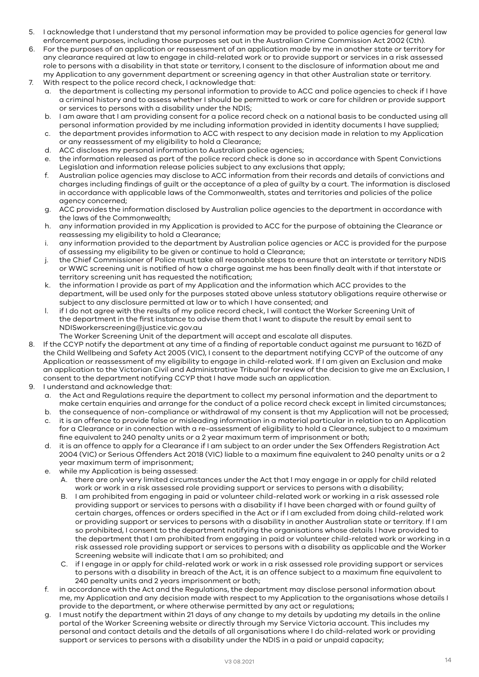- 5. I acknowledge that I understand that my personal information may be provided to police agencies for general law enforcement purposes, including those purposes set out in the Australian Crime Commission Act 2002 (Cth).
- 6. For the purposes of an application or reassessment of an application made by me in another state or territory for any clearance required at law to engage in child-related work or to provide support or services in a risk assessed role to persons with a disability in that state or territory, I consent to the disclosure of information about me and my Application to any government department or screening agency in that other Australian state or territory.
- 7. With respect to the police record check, I acknowledge that:
	- a. the department is collecting my personal information to provide to ACC and police agencies to check if I have a criminal history and to assess whether I should be permitted to work or care for children or provide support or services to persons with a disability under the NDIS;
	- b. I am aware that I am providing consent for a police record check on a national basis to be conducted using all personal information provided by me including information provided in identity documents I have supplied;
	- c. the department provides information to ACC with respect to any decision made in relation to my Application or any reassessment of my eligibility to hold a Clearance;
	- d. ACC discloses my personal information to Australian police agencies;
	- e. the information released as part of the police record check is done so in accordance with Spent Convictions Legislation and information release policies subject to any exclusions that apply;
	- f. Australian police agencies may disclose to ACC information from their records and details of convictions and charges including findings of guilt or the acceptance of a plea of guilty by a court. The information is disclosed in accordance with applicable laws of the Commonwealth, states and territories and policies of the police agency concerned;
	- g. ACC provides the information disclosed by Australian police agencies to the department in accordance with the laws of the Commonwealth;
	- h. any information provided in my Application is provided to ACC for the purpose of obtaining the Clearance or reassessing my eligibility to hold a Clearance;
	- i. any information provided to the department by Australian police agencies or ACC is provided for the purpose of assessing my eligibility to be given or continue to hold a Clearance;
	- j. the Chief Commissioner of Police must take all reasonable steps to ensure that an interstate or territory NDIS or WWC screening unit is notified of how a charge against me has been finally dealt with if that interstate or territory screening unit has requested the notification;
	- k. the information I provide as part of my Application and the information which ACC provides to the department, will be used only for the purposes stated above unless statutory obligations require otherwise or subject to any disclosure permitted at law or to which I have consented; and
	- l. if I do not agree with the results of my police record check, I will contact the Worker Screening Unit of the department in the first instance to advise them that I want to dispute the result by email sent to NDISworkerscreening@justice.vic.gov.au
		- The Worker Screening Unit of the department will accept and escalate all disputes.
- 8. If the CCYP notify the department at any time of a finding of reportable conduct against me pursuant to 16ZD of the Child Wellbeing and Safety Act 2005 (VIC), I consent to the department notifying CCYP of the outcome of any Application or reassessment of my eligibility to engage in child-related work. If I am given an Exclusion and make an application to the Victorian Civil and Administrative Tribunal for review of the decision to give me an Exclusion, I consent to the department notifying CCYP that I have made such an application.
- 9. I understand and acknowledge that:
	- a. the Act and Regulations require the department to collect my personal information and the department to make certain enquiries and arrange for the conduct of a police record check except in limited circumstances;
	- b. the consequence of non-compliance or withdrawal of my consent is that my Application will not be processed;
	- c. it is an offence to provide false or misleading information in a material particular in relation to an Application for a Clearance or in connection with a re-assessment of eligibility to hold a Clearance, subject to a maximum fine equivalent to 240 penalty units or a 2 year maximum term of imprisonment or both;
	- d. it is an offence to apply for a Clearance if I am subject to an order under the Sex Offenders Registration Act 2004 (VIC) or Serious Offenders Act 2018 (VIC) liable to a maximum fine equivalent to 240 penalty units or a 2 year maximum term of imprisonment;
	- e. while my Application is being assessed:
		- A. there are only very limited circumstances under the Act that I may engage in or apply for child related work or work in a risk assessed role providing support or services to persons with a disability;
		- B. I am prohibited from engaging in paid or volunteer child-related work or working in a risk assessed role providing support or services to persons with a disability if I have been charged with or found guilty of certain charges, offences or orders specified in the Act or if I am excluded from doing child-related work or providing support or services to persons with a disability in another Australian state or territory. If I am so prohibited, I consent to the department notifying the organisations whose details I have provided to the department that I am prohibited from engaging in paid or volunteer child-related work or working in a risk assessed role providing support or services to persons with a disability as applicable and the Worker Screening website will indicate that I am so prohibited; and
		- C. if I engage in or apply for child-related work or work in a risk assessed role providing support or services to persons with a disability in breach of the Act, it is an offence subject to a maximum fine equivalent to 240 penalty units and 2 years imprisonment or both;
	- f. in accordance with the Act and the Regulations, the department may disclose personal information about me, my Application and any decision made with respect to my Application to the organisations whose details I provide to the department, or where otherwise permitted by any act or regulations;
	- g. I must notify the department within 21 days of any change to my details by updating my details in the online portal of the Worker Screening website or directly through my Service Victoria account. This includes my personal and contact details and the details of all organisations where I do child-related work or providing support or services to persons with a disability under the NDIS in a paid or unpaid capacity;